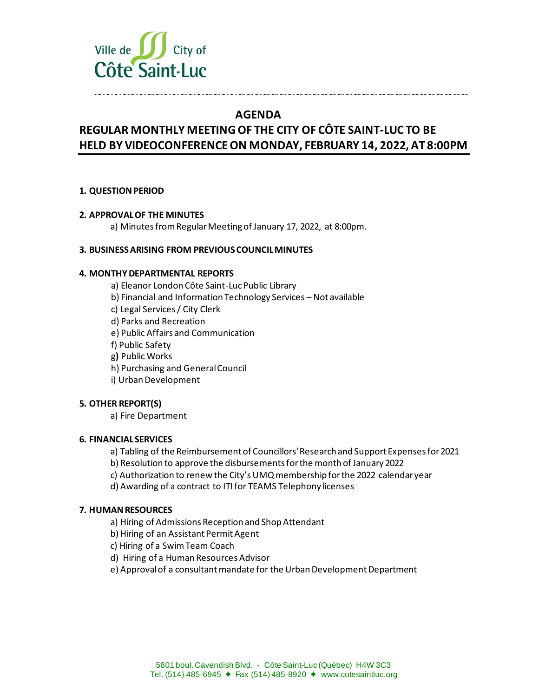

## **AGENDA**

# **REGULAR MONTHLY MEETING OF THE CITY OF CÔTE SAINT-LUC TO BE HELD BY VIDEOCONFERENCE ON MONDAY, FEBRUARY 14, 2022, AT 8:00PM**

## **1. QUESTION PERIOD**

## **2. APPROVAL OF THE MINUTES**

a) Minutes from Regular Meeting of January 17, 2022, at 8:00pm.

## **3. BUSINESS ARISING FROM PREVIOUS COUNCIL MINUTES**

## **4. MONTHY DEPARTMENTAL REPORTS**

a) Eleanor London Côte Saint-Luc Public Library b) Financial and Information Technology Services – Not available c) Legal Services / City Clerk d) Parks and Recreation e) Public Affairs and Communication f) Public Safety g**)** Public Works h) Purchasing and General Council i) Urban Development

## **5. OTHER REPORT(S)**

a) Fire Department

## **6. FINANCIAL SERVICES**

a) Tabling of the Reimbursement of Councillors' Research and Support Expenses for 2021

b) Resolution to approve the disbursements for the month of January 2022

c) Authorization to renew the City's UMQ membership for the 2022 calendar year

d) Awarding of a contract to ITI for TEAMS Telephony licenses

## **7. HUMAN RESOURCES**

a) Hiring of Admissions Reception and Shop Attendant

b) Hiring of an Assistant Permit Agent

c) Hiring of a Swim Team Coach

d) Hiring of a Human ResourcesAdvisor

e) Approval of a consultant mandate for the Urban Development Department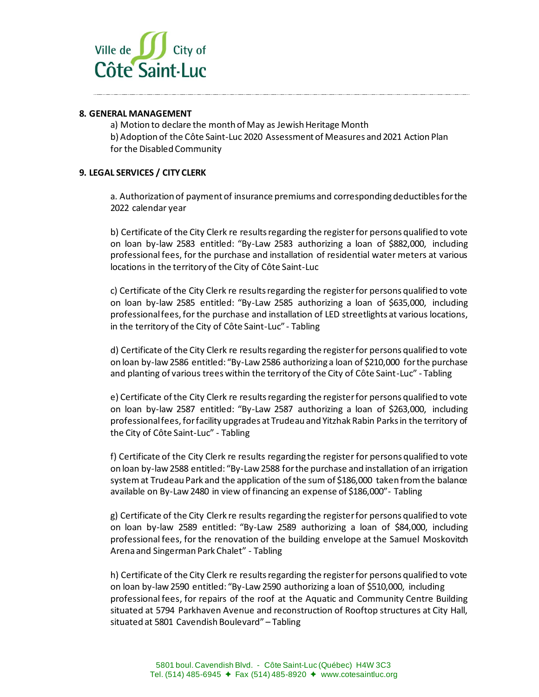

#### **8. GENERAL MANAGEMENT**

a) Motion to declare the month of May as Jewish Heritage Month b) Adoption of the Côte Saint-Luc 2020 Assessment of Measures and 2021 Action Plan for the Disabled Community

#### **9. LEGAL SERVICES / CITY CLERK**

a. Authorization of payment of insurance premiums and corresponding deductibles for the 2022 calendar year

b) Certificate of the City Clerk re results regarding the register for persons qualified to vote on loan by-law 2583 entitled: "By-Law 2583 authorizing a loan of \$882,000, including professional fees, for the purchase and installation of residential water meters at various locations in the territory of the City of Côte Saint-Luc

c) Certificate of the City Clerk re results regarding the register for persons qualified to vote on loan by-law 2585 entitled: "By-Law 2585 authorizing a loan of \$635,000, including professional fees, for the purchase and installation of LED streetlights at various locations, in the territory of the City of Côte Saint-Luc" - Tabling

d) Certificate of the City Clerk re results regarding the register for persons qualified to vote on loan by-law 2586 entitled: "By-Law 2586 authorizing a loan of \$210,000 for the purchase and planting of various trees within the territory of the City of Côte Saint-Luc" - Tabling

e) Certificate of the City Clerk re results regarding the register for persons qualified to vote on loan by-law 2587 entitled: "By-Law 2587 authorizing a loan of \$263,000, including professional fees, for facility upgrades at Trudeau and Yitzhak Rabin Parks in the territory of the City of Côte Saint-Luc" - Tabling

f) Certificate of the City Clerk re results regarding the register for persons qualified to vote on loan by-law 2588 entitled: "By-Law 2588 for the purchase and installation of an irrigation system at Trudeau Park and the application of the sum of \$186,000 taken from the balance available on By-Law 2480 in view of financing an expense of \$186,000"- Tabling

g) Certificate of the City Clerk re results regarding the register for persons qualified to vote on loan by-law 2589 entitled: "By-Law 2589 authorizing a loan of \$84,000, including professional fees, for the renovation of the building envelope at the Samuel Moskovitch Arena and Singerman Park Chalet" - Tabling

h) Certificate of the City Clerk re results regarding the register for persons qualified to vote on loan by-law 2590 entitled: "By-Law 2590 authorizing a loan of \$510,000, including professional fees, for repairs of the roof at the Aquatic and Community Centre Building situated at 5794 Parkhaven Avenue and reconstruction of Rooftop structures at City Hall, situated at 5801 Cavendish Boulevard" – Tabling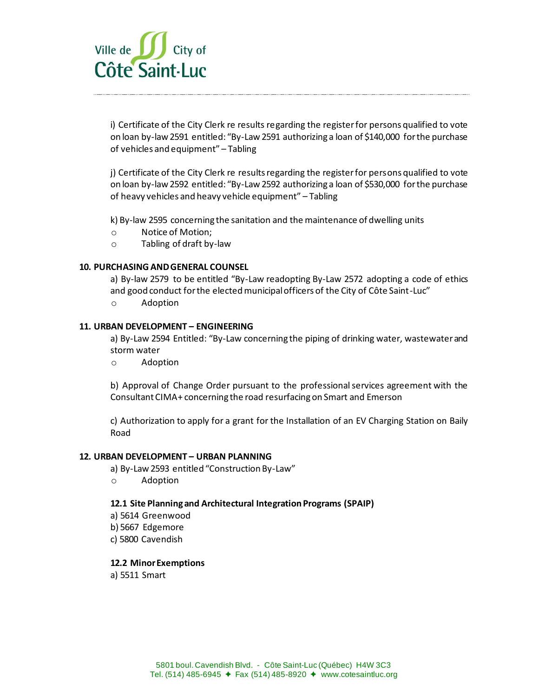

i) Certificate of the City Clerk re results regarding the register for persons qualified to vote on loan by-law 2591 entitled: "By-Law 2591 authorizing a loan of \$140,000 for the purchase of vehicles and equipment" – Tabling

j) Certificate of the City Clerk re results regarding the register for persons qualified to vote on loan by-law 2592 entitled: "By-Law 2592 authorizing a loan of \$530,000 for the purchase of heavy vehicles and heavy vehicle equipment" – Tabling

k) By-law 2595 concerning the sanitation and the maintenance of dwelling units

- o Notice of Motion;
- o Tabling of draft by-law

## **10. PURCHASING AND GENERAL COUNSEL**

a) By-law 2579 to be entitled "By-Law readopting By-Law 2572 adopting a code of ethics and good conduct for the elected municipal officers of the City of Côte Saint-Luc"

o Adoption

#### **11. URBAN DEVELOPMENT – ENGINEERING**

a) By-Law 2594 Entitled: "By-Law concerning the piping of drinking water, wastewater and storm water

o Adoption

b) Approval of Change Order pursuant to the professional services agreement with the Consultant CIMA+ concerning the road resurfacing on Smart and Emerson

c) Authorization to apply for a grant for the Installation of an EV Charging Station on Baily Road

#### **12. URBAN DEVELOPMENT – URBAN PLANNING**

a) By-Law 2593 entitled "Construction By-Law"

o Adoption

#### **12.1 Site Planning and Architectural Integration Programs (SPAIP)**

- a) 5614 Greenwood
- b) 5667 Edgemore
- c) 5800 Cavendish

#### **12.2 Minor Exemptions**

a) 5511 Smart